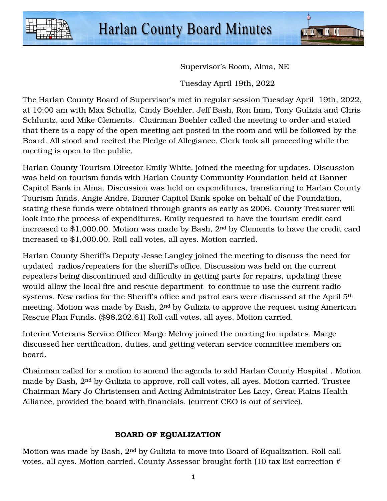



Supervisor's Room, Alma, NE

Tuesday April 19th, 2022

The Harlan County Board of Supervisor's met in regular session Tuesday April 19th, 2022, at 10:00 am with Max Schultz, Cindy Boehler, Jeff Bash, Ron Imm, Tony Gulizia and Chris Schluntz, and Mike Clements. Chairman Boehler called the meeting to order and stated that there is a copy of the open meeting act posted in the room and will be followed by the Board. All stood and recited the Pledge of Allegiance. Clerk took all proceeding while the meeting is open to the public.

Harlan County Tourism Director Emily White, joined the meeting for updates. Discussion was held on tourism funds with Harlan County Community Foundation held at Banner Capitol Bank in Alma. Discussion was held on expenditures, transferring to Harlan County Tourism funds. Angie Andre, Banner Capitol Bank spoke on behalf of the Foundation, stating these funds were obtained through grants as early as 2006. County Treasurer will look into the process of expenditures. Emily requested to have the tourism credit card increased to \$1,000.00. Motion was made by Bash, 2nd by Clements to have the credit card increased to \$1,000.00. Roll call votes, all ayes. Motion carried.

Harlan County Sheriff's Deputy Jesse Langley joined the meeting to discuss the need for updated radios/repeaters for the sheriff's office. Discussion was held on the current repeaters being discontinued and difficulty in getting parts for repairs, updating these would allow the local fire and rescue department to continue to use the current radio systems. New radios for the Sheriff's office and patrol cars were discussed at the April 5<sup>th</sup> meeting. Motion was made by Bash, 2nd by Gulizia to approve the request using American Rescue Plan Funds, (\$98,202.61) Roll call votes, all ayes. Motion carried.

Interim Veterans Service Officer Marge Melroy joined the meeting for updates. Marge discussed her certification, duties, and getting veteran service committee members on board.

Chairman called for a motion to amend the agenda to add Harlan County Hospital . Motion made by Bash, 2nd by Gulizia to approve, roll call votes, all ayes. Motion carried. Trustee Chairman Mary Jo Christensen and Acting Administrator Les Lacy, Great Plains Health Alliance, provided the board with financials. (current CEO is out of service).

## BOARD OF EQUALIZATION

Motion was made by Bash, 2nd by Gulizia to move into Board of Equalization. Roll call votes, all ayes. Motion carried. County Assessor brought forth (10 tax list correction #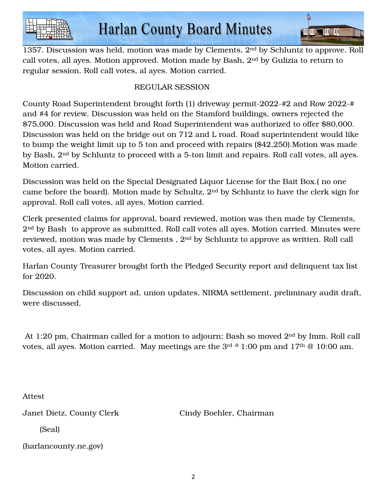

1357. Discussion was held, motion was made by Clements, 2nd by Schluntz to approve. Roll call votes, all ayes. Motion approved. Motion made by Bash, 2nd by Gulizia to return to regular session. Roll call votes, al ayes. Motion carried.

**All II Al II** II

# REGULAR SESSION

County Road Superintendent brought forth (1) driveway permit-2022-#2 and Row 2022-# and #4 for review. Discussion was held on the Stamford buildings, owners rejected the \$75,000. Discussion was held and Road Superintendent was authorized to offer \$80,000. Discussion was held on the bridge out on 712 and L road. Road superintendent would like to bump the weight limit up to 5 ton and proceed with repairs (\$42,250).Motion was made by Bash, 2nd by Schluntz to proceed with a 5-ton limit and repairs. Roll call votes, all ayes. Motion carried.

Discussion was held on the Special Designated Liquor License for the Bait Box.( no one came before the board). Motion made by Schultz, 2nd by Schluntz to have the clerk sign for approval. Roll call votes, all ayes. Motion carried.

Clerk presented claims for approval, board reviewed, motion was then made by Clements, 2<sup>nd</sup> by Bash to approve as submitted. Roll call votes all ayes. Motion carried. Minutes were reviewed, motion was made by Clements , 2nd by Schluntz to approve as written. Roll call votes, all ayes. Motion carried.

Harlan County Treasurer brought forth the Pledged Security report and delinquent tax list for 2020.

Discussion on child support ad, union updates, NIRMA settlement, preliminary audit draft, were discussed.

 At 1:20 pm, Chairman called for a motion to adjourn; Bash so moved 2nd by Imm. Roll call votes, all ayes. Motion carried. May meetings are the  $3<sup>rd @ 1:00</sup>$  pm and  $17<sup>th @ 10:00</sup>$  am.

Attest

Janet Dietz, County Clerk Cindy Boehler, Chairman

(Seal)

(harlancounty.ne.gov)